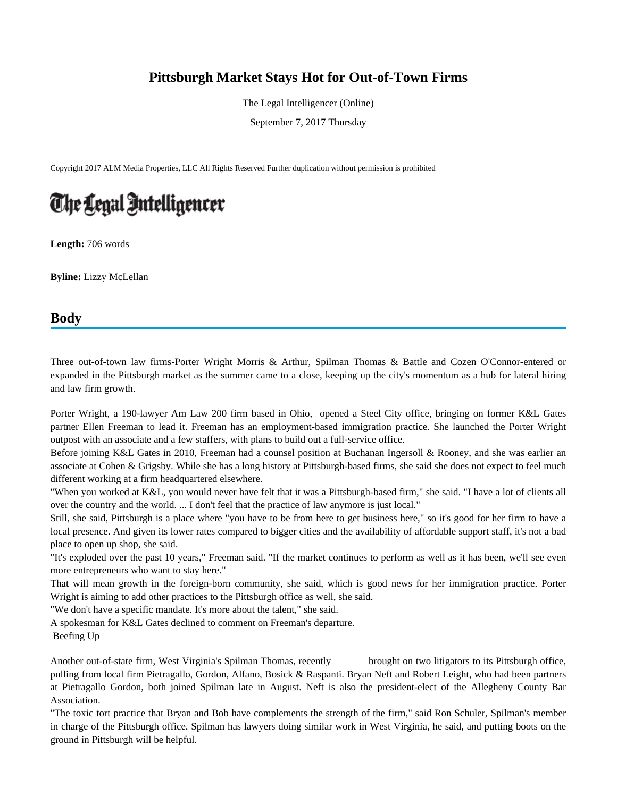## **Pittsburgh Market Stays Hot for Out-of-Town Firms**

The Legal Intelligencer (Online)

September 7, 2017 Thursday

Copyright 2017 ALM Media Properties, LLC All Rights Reserved Further duplication without permission is prohibited

## The Legal Intelligencer

**Length:** 706 words

**Byline:** Lizzy McLellan

## **Body**

Three out-of-town law firms-Porter Wright Morris & Arthur, Spilman Thomas & Battle and Cozen O'Connor-entered or expanded in the Pittsburgh market as the summer came to a close, keeping up the city's momentum as a hub for lateral hiring and law firm growth.

Porter Wright, a 190-lawyer Am Law 200 firm based in Ohio, opened a Steel City office, bringing on former K&L Gates partner Ellen Freeman to lead it. Freeman has an employment-based immigration practice. She launched the Porter Wright outpost with an associate and a few staffers, with plans to build out a full-service office.

Before joining K&L Gates in 2010, Freeman had a counsel position at Buchanan Ingersoll & Rooney, and she was earlier an associate at Cohen & Grigsby. While she has a long history at Pittsburgh-based firms, she said she does not expect to feel much different working at a firm headquartered elsewhere.

"When you worked at K&L, you would never have felt that it was a Pittsburgh-based firm," she said. "I have a lot of clients all over the country and the world. ... I don't feel that the practice of law anymore is just local."

Still, she said, Pittsburgh is a place where "you have to be from here to get business here," so it's good for her firm to have a local presence. And given its lower rates compared to bigger cities and the availability of affordable support staff, it's not a bad place to open up shop, she said.

"It's exploded over the past 10 years," Freeman said. "If the market continues to perform as well as it has been, we'll see even more entrepreneurs who want to stay here."

That will mean growth in the foreign-born community, she said, which is good news for her immigration practice. Porter Wright is aiming to add other practices to the Pittsburgh office as well, she said.

"We don't have a specific mandate. It's more about the talent," she said.

A spokesman for K&L Gates declined to comment on Freeman's departure. Beefing Up

Another out-of-state firm, West Virginia's Spilman Thomas, recently brought on two litigators to its Pittsburgh office, pulling from local firm Pietragallo, Gordon, Alfano, Bosick & Raspanti. Bryan Neft and Robert Leight, who had been partners at Pietragallo Gordon, both joined Spilman late in August. Neft is also the president-elect of the Allegheny County Bar Association.

"The toxic tort practice that Bryan and Bob have complements the strength of the firm," said Ron Schuler, Spilman's member in charge of the Pittsburgh office. Spilman has lawyers doing similar work in West Virginia, he said, and putting boots on the ground in Pittsburgh will be helpful.